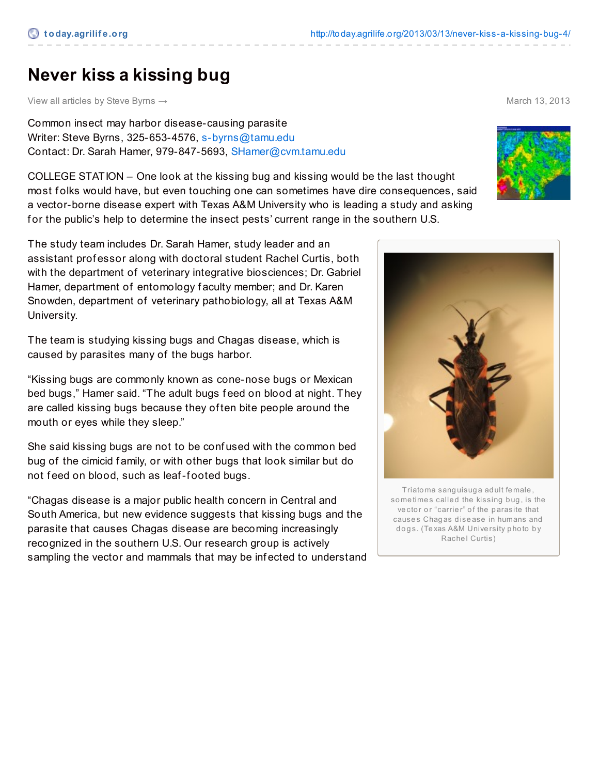## **Never kiss a kissing bug**

View all articles by Steve Byrns → March 13, 2013

Common insect may harbor disease-causing parasite Writer: Steve Byrns, 325-653-4576, [s-byrns@tamu.edu](mailto:s-byrns@tamu.edu) Contact: Dr. Sarah Hamer, 979-847-5693, [SHamer@cvm.tamu.edu](mailto:SHamer@cvm.tamu.edu)

COLLEGE STATION – One look at the kissing bug and kissing would be the last thought most folks would have, but even touching one can sometimes have dire consequences, said a vector-borne disease expert with Texas A&M University who is leading a study and asking for the public's help to determine the insect pests' current range in the southern U.S.

The study team includes Dr. Sarah Hamer, study leader and an assistant prof essor along with doctoral student Rachel Curtis, both with the department of veterinary integrative biosciences; Dr. Gabriel Hamer, department of entomology f aculty member; and Dr. Karen Snowden, department of veterinary pathobiology, all at Texas A&M University.

The team is studying kissing bugs and Chagas disease, which is caused by parasites many of the bugs harbor.

"Kissing bugs are commonly known as cone-nose bugs or Mexican bed bugs," Hamer said. "The adult bugs f eed on blood at night. They are called kissing bugs because they of ten bite people around the mouth or eyes while they sleep."

She said kissing bugs are not to be conf used with the common bed bug of the cimicid family, or with other bugs that look similar but do not feed on blood, such as leaf-footed bugs.

"Chagas disease is a major public health concern in Central and South America, but new evidence suggests that kissing bugs and the parasite that causes Chagas disease are becoming increasingly recognized in the southern U.S. Our research group is actively sampling the vector and mammals that may be inf ected to understand



Triato ma sang uisug a ad ult fe male , sometimes called the kissing bug, is the vector or "carrier" of the parasite that causes Chagas disease in humans and dogs. (Texas A&M University photo by Rachel Curtis)